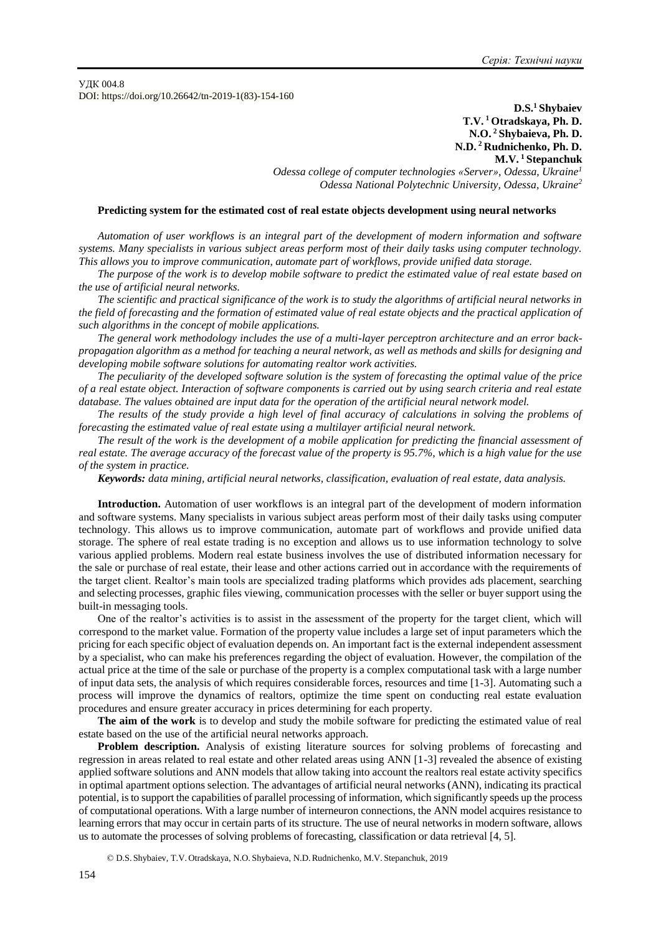УДК 004.8 DOI: https://doi.org/10.26642/tn-2019-1(83)-154-160

> **D.S.<sup>1</sup> Shybaiev T.V. <sup>1</sup> Otradskaya, Ph. D. N.O. <sup>2</sup> Shybaieva, Ph. D. N.D. <sup>2</sup> Rudnichenko, Ph. D. M.V. <sup>1</sup> Stepanchuk**

*Odessa college of computer technologies «Server», Odessa, Ukraine<sup>1</sup> Odessa National Polytechnic University, Odessa, Ukraine<sup>2</sup>*

## **Predicting system for the estimated cost of real estate objects development using neural networks**

*Automation of user workflows is an integral part of the development of modern information and software systems. Many specialists in various subject areas perform most of their daily tasks using computer technology. This allows you to improve communication, automate part of workflows, provide unified data storage.* 

*The purpose of the work is to develop mobile software to predict the estimated value of real estate based on the use of artificial neural networks.*

*The scientific and practical significance of the work is to study the algorithms of artificial neural networks in the field of forecasting and the formation of estimated value of real estate objects and the practical application of such algorithms in the concept of mobile applications.*

*The general work methodology includes the use of a multi-layer perceptron architecture and an error backpropagation algorithm as a method for teaching a neural network, as well as methods and skills for designing and developing mobile software solutions for automating realtor work activities.*

*The peculiarity of the developed software solution is the system of forecasting the optimal value of the price of a real estate object. Interaction of software components is carried out by using search criteria and real estate database. The values obtained are input data for the operation of the artificial neural network model.*

*The results of the study provide a high level of final accuracy of calculations in solving the problems of forecasting the estimated value of real estate using a multilayer artificial neural network.*

*The result of the work is the development of a mobile application for predicting the financial assessment of real estate. The average accuracy of the forecast value of the property is 95.7%, which is a high value for the use of the system in practice.*

*Keywords: data mining, artificial neural networks, classification, evaluation of real estate, data analysis.*

**Introduction.** Automation of user workflows is an integral part of the development of modern information and software systems. Many specialists in various subject areas perform most of their daily tasks using computer technology. This allows us to improve communication, automate part of workflows and provide unified data storage. The sphere of real estate trading is no exception and allows us to use information technology to solve various applied problems. Modern real estate business involves the use of distributed information necessary for the sale or purchase of real estate, their lease and other actions carried out in accordance with the requirements of the target client. Realtor's main tools are specialized trading platforms which provides ads placement, searching and selecting processes, graphic files viewing, communication processes with the seller or buyer support using the built-in messaging tools.

One of the realtor's activities is to assist in the assessment of the property for the target client, which will correspond to the market value. Formation of the property value includes a large set of input parameters which the pricing for each specific object of evaluation depends on. An important fact is the external independent assessment by a specialist, who can make his preferences regarding the object of evaluation. However, the compilation of the actual price at the time of the sale or purchase of the property is a complex computational task with a large number of input data sets, the analysis of which requires considerable forces, resources and time [1-3]. Automating such a process will improve the dynamics of realtors, optimize the time spent on conducting real estate evaluation procedures and ensure greater accuracy in prices determining for each property.

**The aim of the work** is to develop and study the mobile software for predicting the estimated value of real estate based on the use of the artificial neural networks approach.

**Problem description.** Analysis of existing literature sources for solving problems of forecasting and regression in areas related to real estate and other related areas using ANN [1-3] revealed the absence of existing applied software solutions and ANN models that allow taking into account the realtors real estate activity specifics in optimal apartment options selection. The advantages of artificial neural networks (ANN), indicating its practical potential, is to support the capabilities of parallel processing of information, which significantly speeds up the process of computational operations. With a large number of interneuron connections, the ANN model acquires resistance to learning errors that may occur in certain parts of its structure. The use of neural networks in modern software, allows us to automate the processes of solving problems of forecasting, classification or data retrieval [4, 5].

© D.S. Shybaiev, T.V. Otradskaya, N.O. Shybaieva, N.D.Rudnichenko, M.V. Stepanchuk, 2019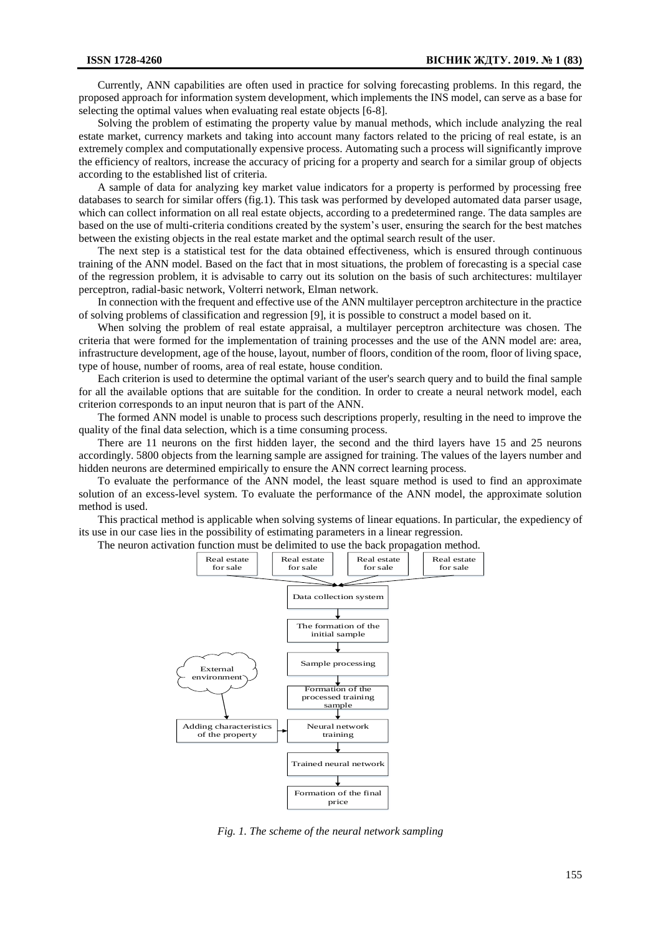Currently, ANN capabilities are often used in practice for solving forecasting problems. In this regard, the proposed approach for information system development, which implements the INS model, can serve as a base for selecting the optimal values when evaluating real estate objects [6-8].

Solving the problem of estimating the property value by manual methods, which include analyzing the real estate market, currency markets and taking into account many factors related to the pricing of real estate, is an extremely complex and computationally expensive process. Automating such a process will significantly improve the efficiency of realtors, increase the accuracy of pricing for a property and search for a similar group of objects according to the established list of criteria.

A sample of data for analyzing key market value indicators for a property is performed by processing free databases to search for similar offers (fig.1). This task was performed by developed automated data parser usage, which can collect information on all real estate objects, according to a predetermined range. The data samples are based on the use of multi-criteria conditions created by the system's user, ensuring the search for the best matches between the existing objects in the real estate market and the optimal search result of the user.

The next step is a statistical test for the data obtained effectiveness, which is ensured through continuous training of the ANN model. Based on the fact that in most situations, the problem of forecasting is a special case of the regression problem, it is advisable to carry out its solution on the basis of such architectures: multilayer perceptron, radial-basic network, Volterri network, Elman network.

In connection with the frequent and effective use of the ANN multilayer perceptron architecture in the practice of solving problems of classification and regression [9], it is possible to construct a model based on it.

When solving the problem of real estate appraisal, a multilayer perceptron architecture was chosen. The criteria that were formed for the implementation of training processes and the use of the ANN model are: area, infrastructure development, age of the house, layout, number of floors, condition of the room, floor of living space, type of house, number of rooms, area of real estate, house condition.

Each criterion is used to determine the optimal variant of the user's search query and to build the final sample for all the available options that are suitable for the condition. In order to create a neural network model, each criterion corresponds to an input neuron that is part of the ANN.

The formed ANN model is unable to process such descriptions properly, resulting in the need to improve the quality of the final data selection, which is a time consuming process.

There are 11 neurons on the first hidden layer, the second and the third layers have 15 and 25 neurons accordingly. 5800 objects from the learning sample are assigned for training. The values of the layers number and hidden neurons are determined empirically to ensure the ANN correct learning process.

To evaluate the performance of the ANN model, the least square method is used to find an approximate solution of an excess-level system. To evaluate the performance of the ANN model, the approximate solution method is used.

This practical method is applicable when solving systems of linear equations. In particular, the expediency of its use in our case lies in the possibility of estimating parameters in a linear regression.

The neuron activation function must be delimited to use the back propagation method.



*Fig. 1. The scheme of the neural network sampling*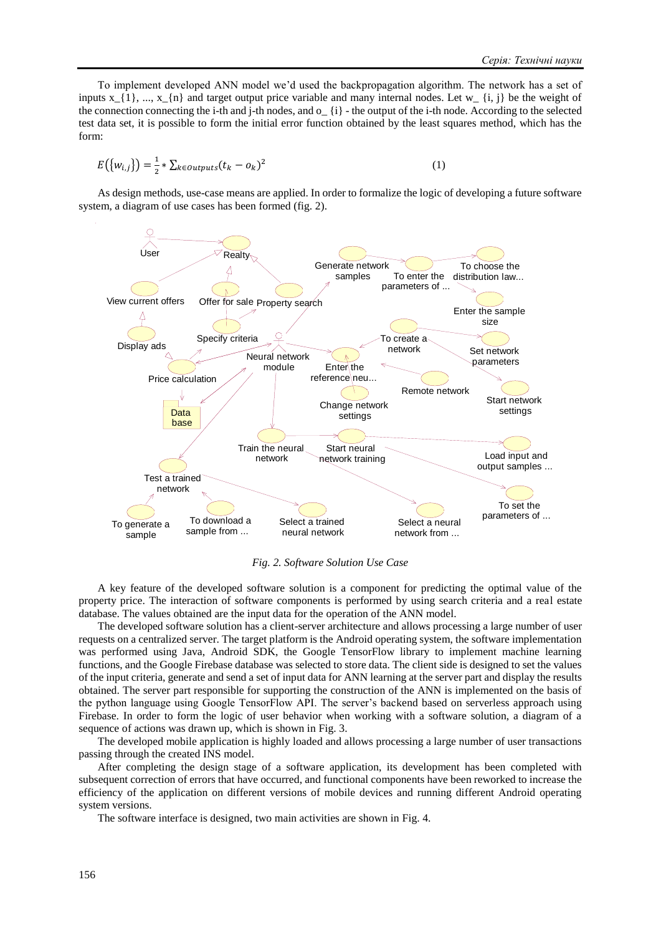To implement developed ANN model we'd used the backpropagation algorithm. The network has a set of inputs  $x_{1}$ , ...,  $x_{n}$  and target output price variable and many internal nodes. Let w<sub>r</sub> {i, j} be the weight of the connection connecting the i-th and j-th nodes, and  $o_{\alpha}$  {i} - the output of the i-th node. According to the selected test data set, it is possible to form the initial error function obtained by the least squares method, which has the form:

$$
E\left(\{w_{i,j}\}\right) = \frac{1}{2} * \sum_{k \in outputs} (t_k - o_k)^2
$$
\n<sup>(1)</sup>

As design methods, use-case means are applied. In order to formalize the logic of developing a future software system, a diagram of use cases has been formed (fig. 2).



*Fig. 2. Software Solution Use Case*

A key feature of the developed software solution is a component for predicting the optimal value of the property price. The interaction of software components is performed by using search criteria and a real estate database. The values obtained are the input data for the operation of the ANN model.

The developed software solution has a client-server architecture and allows processing a large number of user requests on a centralized server. The target platform is the Android operating system, the software implementation was performed using Java, Android SDK, the Google TensorFlow library to implement machine learning functions, and the Google Firebase database was selected to store data. The client side is designed to set the values of the input criteria, generate and send a set of input data for ANN learning at the server part and display the results obtained. The server part responsible for supporting the construction of the ANN is implemented on the basis of the python language using Google TensorFlow API. The server's backend based on serverless approach using Firebase. In order to form the logic of user behavior when working with a software solution, a diagram of a sequence of actions was drawn up, which is shown in Fig. 3.

The developed mobile application is highly loaded and allows processing a large number of user transactions passing through the created INS model.

After completing the design stage of a software application, its development has been completed with subsequent correction of errors that have occurred, and functional components have been reworked to increase the efficiency of the application on different versions of mobile devices and running different Android operating system versions.

The software interface is designed, two main activities are shown in Fig. 4.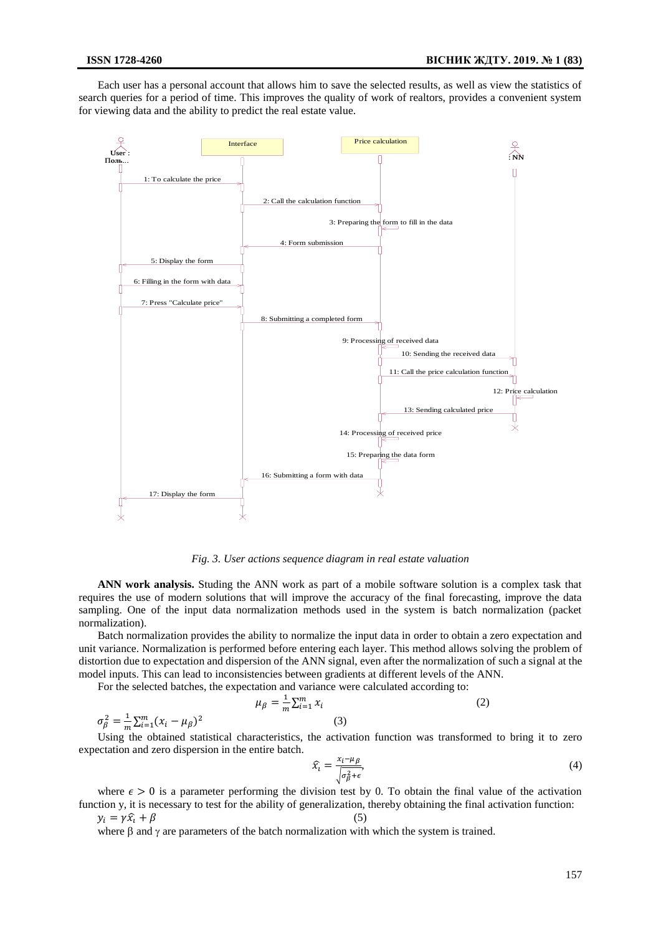Each user has a personal account that allows him to save the selected results, as well as view the statistics of search queries for a period of time. This improves the quality of work of realtors, provides a convenient system for viewing data and the ability to predict the real estate value.



*Fig. 3. User actions sequence diagram in real estate valuation*

**ANN work analysis.** Studing the ANN work as part of a mobile software solution is a complex task that requires the use of modern solutions that will improve the accuracy of the final forecasting, improve the data sampling. One of the input data normalization methods used in the system is batch normalization (packet normalization).

Batch normalization provides the ability to normalize the input data in order to obtain a zero expectation and unit variance. Normalization is performed before entering each layer. This method allows solving the problem of distortion due to expectation and dispersion of the ANN signal, even after the normalization of such a signal at the model inputs. This can lead to inconsistencies between gradients at different levels of the ANN.

For the selected batches, the expectation and variance were calculated according to:

$$
\mu_{\beta} = \frac{1}{m} \sum_{i=1}^{m} x_i
$$
\n(2)

 $\sigma_{\beta}^2 = \frac{1}{m}$  $\frac{1}{m}\sum_{i=1}^{m}(x_i-\mu_{\beta})^2$ (3)

Using the obtained statistical characteristics, the activation function was transformed to bring it to zero expectation and zero dispersion in the entire batch.

$$
\widehat{x}_t = \frac{x_t - \mu_\beta}{\sqrt{\sigma_\beta^2 + \epsilon}},\tag{4}
$$

where  $\epsilon > 0$  is a parameter performing the division test by 0. To obtain the final value of the activation function y, it is necessary to test for the ability of generalization, thereby obtaining the final activation function:

$$
y_i = \gamma \hat{x}_i + \beta
$$
 (5)  
where  $\beta$  and  $\gamma$  are parameters of the batch normalization with which the system is trained.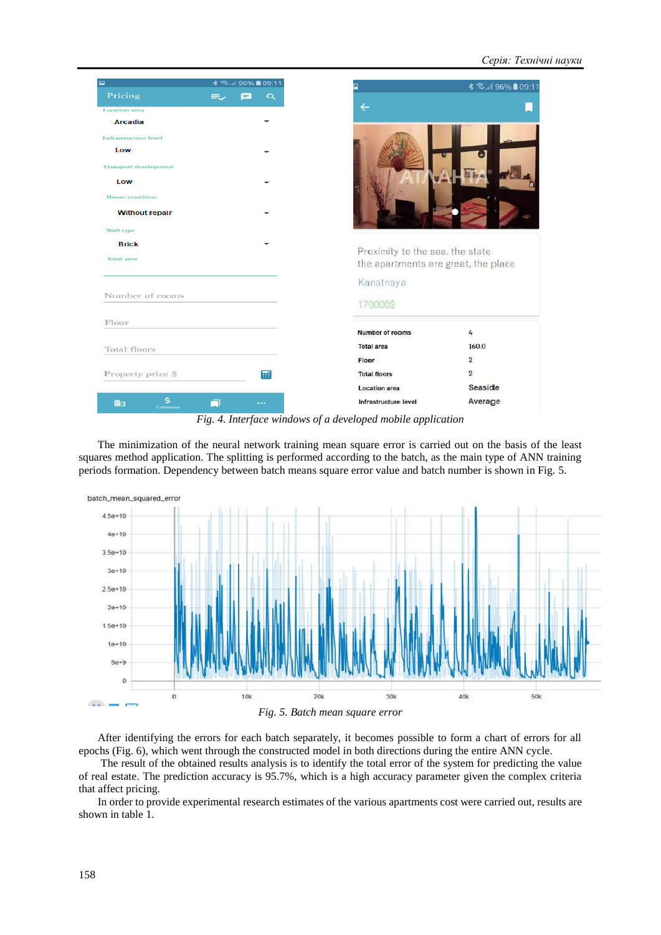| $\overline{\phantom{a}}$     | <b>* €.µ  96% ■ 09:11</b> |          |
|------------------------------|---------------------------|----------|
| Pricing                      | $\equiv$                  | $\alpha$ |
| <b>Location</b> area         |                           |          |
| <b>Arcadia</b>               |                           |          |
| <b>Infrastructure</b> level  |                           |          |
| Low                          |                           |          |
| <b>Transport development</b> |                           |          |
| Low                          |                           |          |
| <b>House</b> condition       |                           |          |
| <b>Without repair</b>        |                           |          |
| Wall type                    |                           |          |
| <b>Brick</b>                 |                           |          |
| <b>Total</b> area            |                           |          |
|                              |                           |          |
|                              |                           |          |
| Number of rooms              |                           |          |
| Floor                        |                           |          |
|                              |                           |          |
| Total floors                 |                           |          |
|                              |                           |          |
| Property price \$            |                           | 龠        |
|                              |                           |          |
| s<br>曲<br>Calculator         |                           |          |

*Fig. 4. Interface windows of a developed mobile application*

The minimization of the neural network training mean square error is carried out on the basis of the least squares method application. The splitting is performed according to the batch, as the main type of ANN training periods formation. Dependency between batch means square error value and batch number is shown in Fig. 5.



*Fig. 5. Batch mean square error*

After identifying the errors for each batch separately, it becomes possible to form a chart of errors for all epochs (Fig. 6), which went through the constructed model in both directions during the entire ANN cycle.

The result of the obtained results analysis is to identify the total error of the system for predicting the value of real estate. The prediction accuracy is 95.7%, which is a high accuracy parameter given the complex criteria that affect pricing.

In order to provide experimental research estimates of the various apartments cost were carried out, results are shown in table 1.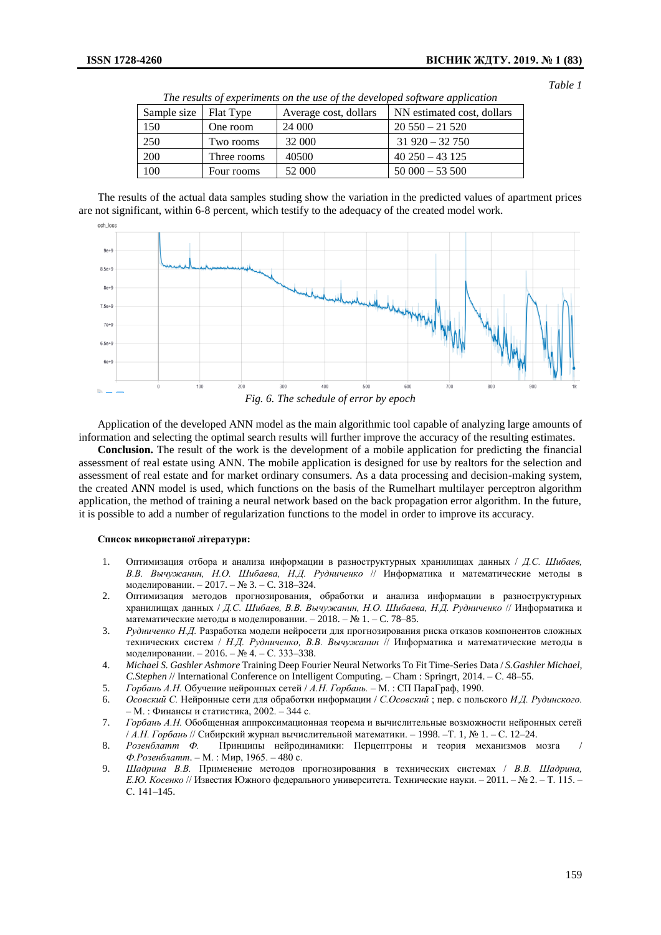*Table 1*

| Sample size | Flat Type   | Average cost, dollars | NN estimated cost, dollars |
|-------------|-------------|-----------------------|----------------------------|
| 150         | One room    | 24 000                | $20550 - 21520$            |
| 250         | Two rooms   | 32 000                | $31920 - 32750$            |
| 200         | Three rooms | 40500                 | $40\,250 - 43\,125$        |
| 100         | Four rooms  | 52 000                | $50000 - 53500$            |

*The results of experiments on the use of the developed software application*

The results of the actual data samples studing show the variation in the predicted values of apartment prices are not significant, within 6-8 percent, which testify to the adequacy of the created model work.



*Fig. 6. The schedule of error by epoch*

Application of the developed ANN model as the main algorithmic tool capable of analyzing large amounts of information and selecting the optimal search results will further improve the accuracy of the resulting estimates.

**Conclusion.** The result of the work is the development of a mobile application for predicting the financial assessment of real estate using ANN. The mobile application is designed for use by realtors for the selection and assessment of real estate and for market ordinary consumers. As a data processing and decision-making system, the created ANN model is used, which functions on the basis of the Rumelhart multilayer perceptron algorithm application, the method of training a neural network based on the back propagation error algorithm. In the future, it is possible to add a number of regularization functions to the model in order to improve its accuracy.

## **Список використаної літератури:**

- 1. Оптимизация отбора и анализа информации в разноструктурных хранилищах данных / *Д.С. Шибаев, В.В. Вычужанин, Н.О. Шибаева, Н.Д. Рудниченко* // Информатика и математические методы в моделировании. – 2017. – № 3. – C. 318–324.
- 2. [Оптимизация методов прогнозирования, обработки и анализа информации в разноструктурных](http://search.ebscohost.com/login.aspx?direct=true&profile=ehost&scope=site&authtype=crawler&jrnl=22235744&AN=130634764&h=mCwr9vV7FP90XrCHk5ej1Ns51H1x8FrNMWB%2FjPXL1fiVowx0zKMDKJnmohyAXxyUCWf5umjU%2FYJYA%2Fc33yY%2BYw%3D%3D&crl=c)  [хранилищах данных](http://search.ebscohost.com/login.aspx?direct=true&profile=ehost&scope=site&authtype=crawler&jrnl=22235744&AN=130634764&h=mCwr9vV7FP90XrCHk5ej1Ns51H1x8FrNMWB%2FjPXL1fiVowx0zKMDKJnmohyAXxyUCWf5umjU%2FYJYA%2Fc33yY%2BYw%3D%3D&crl=c) / *Д.С. Шибаев, В.В. Вычужанин, Н.О. Шибаева, Н.Д. Рудниченко* // Информатика и математические методы в моделировании. – 2018. – № 1. – C. 78–85.
- 3. *Рудниченко Н.Д.* Разработка модели нейросети для прогнозирования риска отказов компонентов сложных технических систем / *Н.Д. Рудниченко, В.В. Вычужанин* // Информатика и математические методы в моделировании. – 2016. – № 4. – С. 333–338.
- 4. *Michael S. Gashler Ashmore* Training Deep Fourier Neural Networks To Fit Time-Series Data / *S.Gashler Michael, C.Stephen* // International Conference on Intelligent Computing. – Cham : Springrt, 2014. – С. 48–55.
- 5. *Горбань А.Н.* [Обучение нейронных сетей](http://lib.sibnet.ru/book/11961) / *А.Н. Горбань.* М. : СП ПараГраф, 1990.
- 6. *Осовский С.* Нейронные сети для обработки информации / *С.Осовский* ; пер. с польского *И.Д. Рудинского.* – М. : Финансы и статистика, 2002. – 344 с.
- 7. *Горбань А.Н.* Обобщенная аппроксимационная теорема и вычислительные возможности нейронных сетей / *А.Н. Горбань* // Сибирский журнал вычислительной математики. – 1998. –Т. 1, № 1. – С. 12–24.
- 8. *Розенблатт Ф.* [Принципы нейродинамики: Перцептроны и теория механизмов мозга](http://www.raai.org/library/books/other/ros_principles2.djvu) / *Ф.Розенблатт*. – М. : Мир, 1965. – 480 с.
- 9. *Шадрина В.В.* Применение методов прогнозирования в технических системах / *В.В. Шадрина, Е.Ю. Косенко* // Известия Южного федерального университета. Технические науки. – 2011. – № 2. – Т. 115. – С. 141–145.